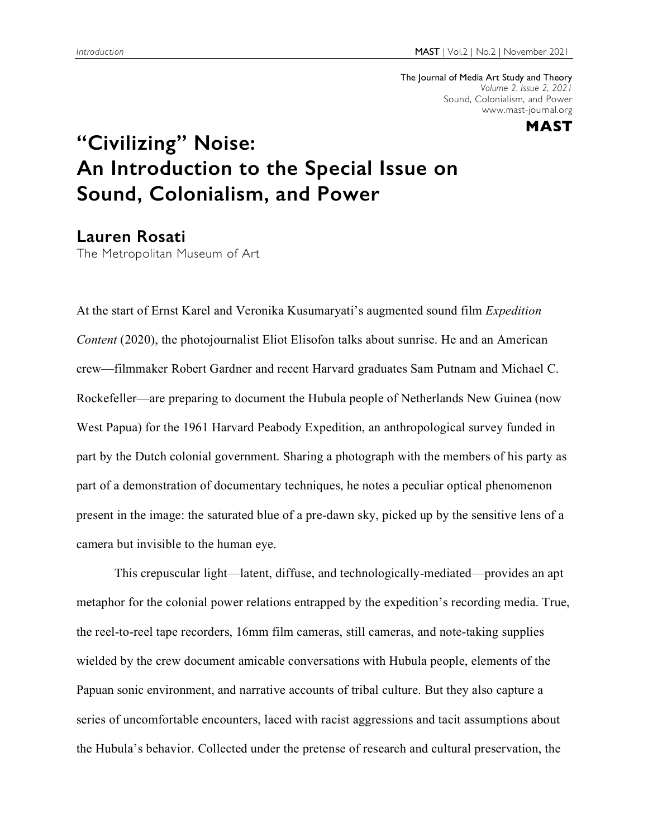The Journal of Media Art Study and Theory *Volume 2, Issue 2, 2021* Sound, Colonialism, and Power www.mast-journal.org



## **"Civilizing" Noise: An Introduction to the Special Issue on Sound, Colonialism, and Power**

## **Lauren Rosati**

The Metropolitan Museum of Art

At the start of Ernst Karel and Veronika Kusumaryati's augmented sound film *Expedition Content* (2020), the photojournalist Eliot Elisofon talks about sunrise. He and an American crew—filmmaker Robert Gardner and recent Harvard graduates Sam Putnam and Michael C. Rockefeller—are preparing to document the Hubula people of Netherlands New Guinea (now West Papua) for the 1961 Harvard Peabody Expedition, an anthropological survey funded in part by the Dutch colonial government. Sharing a photograph with the members of his party as part of a demonstration of documentary techniques, he notes a peculiar optical phenomenon present in the image: the saturated blue of a pre-dawn sky, picked up by the sensitive lens of a camera but invisible to the human eye.

This crepuscular light—latent, diffuse, and technologically-mediated—provides an apt metaphor for the colonial power relations entrapped by the expedition's recording media. True, the reel-to-reel tape recorders, 16mm film cameras, still cameras, and note-taking supplies wielded by the crew document amicable conversations with Hubula people, elements of the Papuan sonic environment, and narrative accounts of tribal culture. But they also capture a series of uncomfortable encounters, laced with racist aggressions and tacit assumptions about the Hubula's behavior. Collected under the pretense of research and cultural preservation, the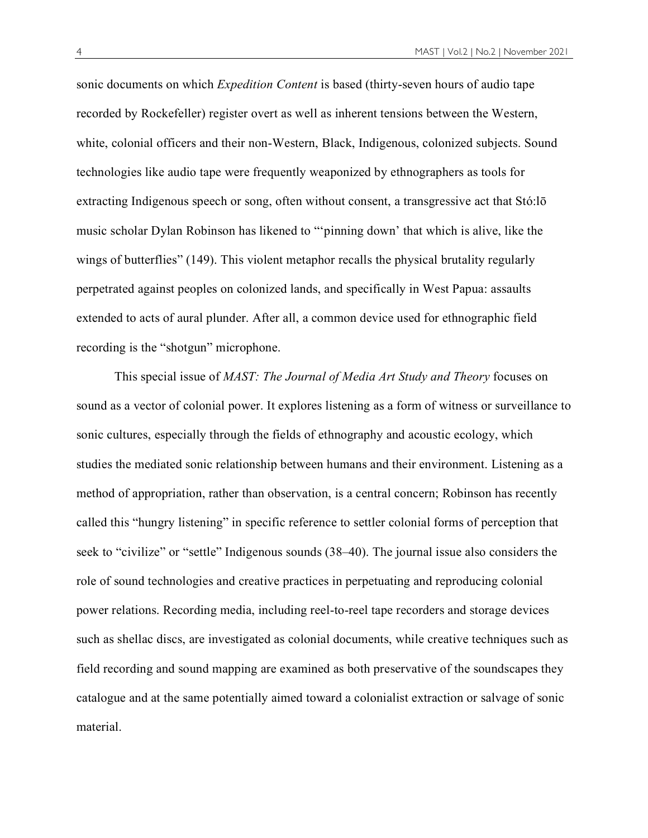sonic documents on which *Expedition Content* is based (thirty-seven hours of audio tape recorded by Rockefeller) register overt as well as inherent tensions between the Western, white, colonial officers and their non-Western, Black, Indigenous, colonized subjects. Sound technologies like audio tape were frequently weaponized by ethnographers as tools for extracting Indigenous speech or song, often without consent, a transgressive act that Stó:lō music scholar Dylan Robinson has likened to "'pinning down' that which is alive, like the wings of butterflies" (149). This violent metaphor recalls the physical brutality regularly perpetrated against peoples on colonized lands, and specifically in West Papua: assaults extended to acts of aural plunder. After all, a common device used for ethnographic field recording is the "shotgun" microphone.

This special issue of *MAST: The Journal of Media Art Study and Theory* focuses on sound as a vector of colonial power. It explores listening as a form of witness or surveillance to sonic cultures, especially through the fields of ethnography and acoustic ecology, which studies the mediated sonic relationship between humans and their environment. Listening as a method of appropriation, rather than observation, is a central concern; Robinson has recently called this "hungry listening" in specific reference to settler colonial forms of perception that seek to "civilize" or "settle" Indigenous sounds (38–40). The journal issue also considers the role of sound technologies and creative practices in perpetuating and reproducing colonial power relations. Recording media, including reel-to-reel tape recorders and storage devices such as shellac discs, are investigated as colonial documents, while creative techniques such as field recording and sound mapping are examined as both preservative of the soundscapes they catalogue and at the same potentially aimed toward a colonialist extraction or salvage of sonic material.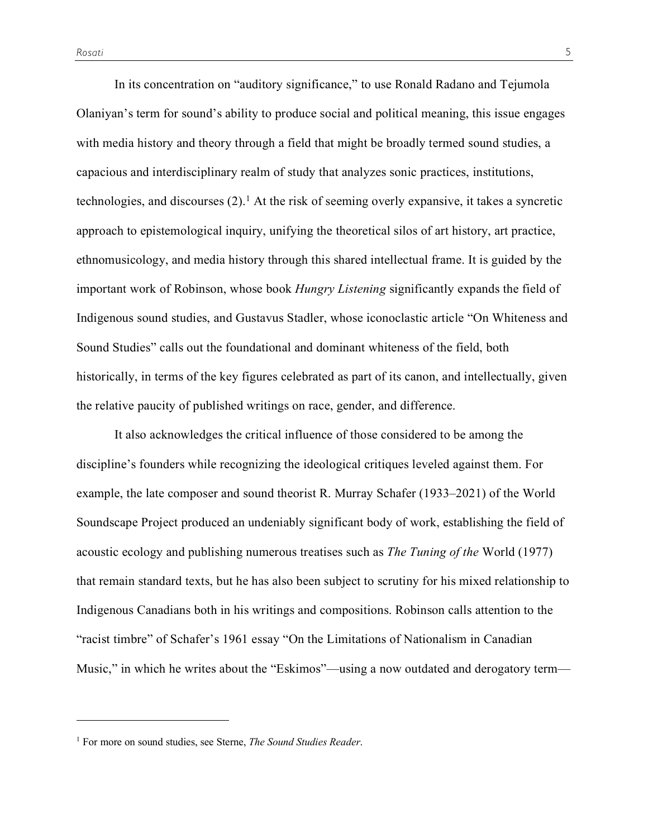$\overline{a}$ 

In its concentration on "auditory significance," to use Ronald Radano and Tejumola Olaniyan's term for sound's ability to produce social and political meaning, this issue engages with media history and theory through a field that might be broadly termed sound studies, a capacious and interdisciplinary realm of study that analyzes sonic practices, institutions, technologies, and discourses  $(2)$ .<sup>1</sup> At the risk of seeming overly expansive, it takes a syncretic approach to epistemological inquiry, unifying the theoretical silos of art history, art practice, ethnomusicology, and media history through this shared intellectual frame. It is guided by the important work of Robinson, whose book *Hungry Listening* significantly expands the field of Indigenous sound studies, and Gustavus Stadler, whose iconoclastic article "On Whiteness and Sound Studies" calls out the foundational and dominant whiteness of the field, both historically, in terms of the key figures celebrated as part of its canon, and intellectually, given the relative paucity of published writings on race, gender, and difference.

It also acknowledges the critical influence of those considered to be among the discipline's founders while recognizing the ideological critiques leveled against them. For example, the late composer and sound theorist R. Murray Schafer (1933–2021) of the World Soundscape Project produced an undeniably significant body of work, establishing the field of acoustic ecology and publishing numerous treatises such as *The Tuning of the* World (1977) that remain standard texts, but he has also been subject to scrutiny for his mixed relationship to Indigenous Canadians both in his writings and compositions. Robinson calls attention to the "racist timbre" of Schafer's 1961 essay "On the Limitations of Nationalism in Canadian Music," in which he writes about the "Eskimos"—using a now outdated and derogatory term—

<sup>1</sup> For more on sound studies, see Sterne, *The Sound Studies Reader*.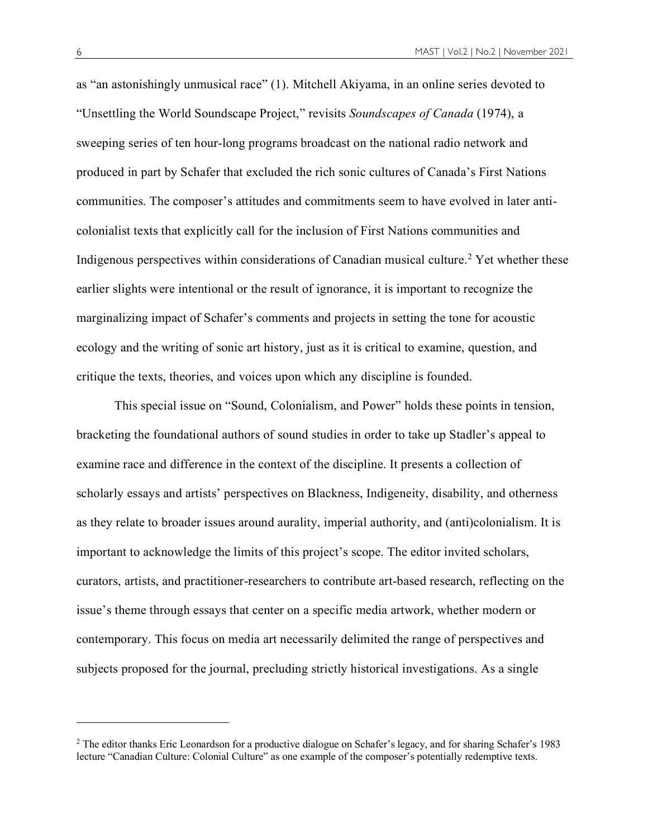as "an astonishingly unmusical race" (1). Mitchell Akiyama, in an online series devoted to "Unsettling the World Soundscape Project," revisits *Soundscapes of Canada* (1974), a sweeping series of ten hour-long programs broadcast on the national radio network and produced in part by Schafer that excluded the rich sonic cultures of Canada's First Nations communities. The composer's attitudes and commitments seem to have evolved in later anticolonialist texts that explicitly call for the inclusion of First Nations communities and Indigenous perspectives within considerations of Canadian musical culture.<sup>2</sup> Yet whether these earlier slights were intentional or the result of ignorance, it is important to recognize the marginalizing impact of Schafer's comments and projects in setting the tone for acoustic ecology and the writing of sonic art history, just as it is critical to examine, question, and critique the texts, theories, and voices upon which any discipline is founded.

This special issue on "Sound, Colonialism, and Power" holds these points in tension, bracketing the foundational authors of sound studies in order to take up Stadler's appeal to examine race and difference in the context of the discipline. It presents a collection of scholarly essays and artists' perspectives on Blackness, Indigeneity, disability, and otherness as they relate to broader issues around aurality, imperial authority, and (anti)colonialism. It is important to acknowledge the limits of this project's scope. The editor invited scholars, curators, artists, and practitioner-researchers to contribute art-based research, reflecting on the issue's theme through essays that center on a specific media artwork, whether modern or contemporary. This focus on media art necessarily delimited the range of perspectives and subjects proposed for the journal, precluding strictly historical investigations. As a single

 $\overline{a}$ 

<sup>2</sup> The editor thanks Eric Leonardson for a productive dialogue on Schafer's legacy, and for sharing Schafer's 1983 lecture "Canadian Culture: Colonial Culture" as one example of the composer's potentially redemptive texts.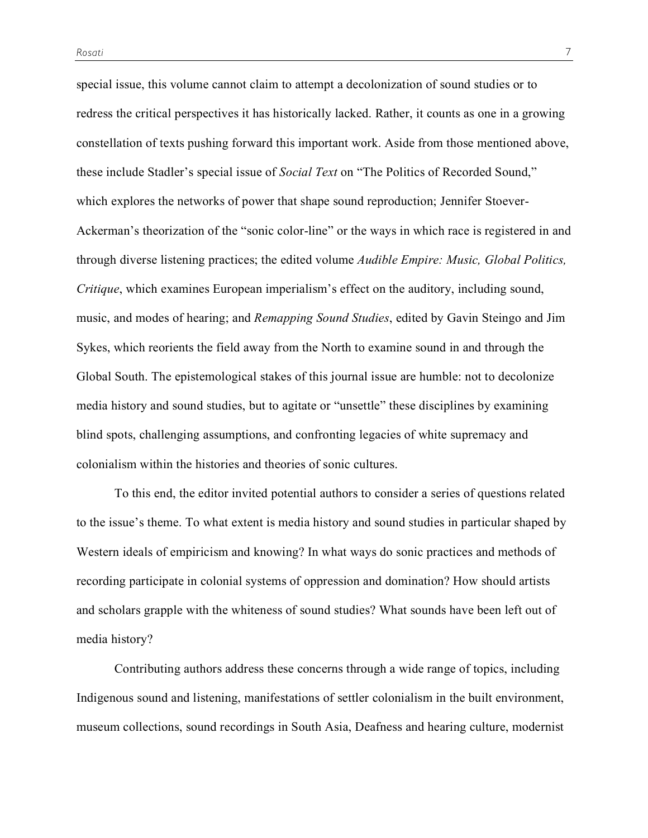special issue, this volume cannot claim to attempt a decolonization of sound studies or to redress the critical perspectives it has historically lacked. Rather, it counts as one in a growing constellation of texts pushing forward this important work. Aside from those mentioned above, these include Stadler's special issue of *Social Text* on "The Politics of Recorded Sound," which explores the networks of power that shape sound reproduction; Jennifer Stoever-Ackerman's theorization of the "sonic color-line" or the ways in which race is registered in and through diverse listening practices; the edited volume *Audible Empire: Music, Global Politics, Critique*, which examines European imperialism's effect on the auditory, including sound, music, and modes of hearing; and *Remapping Sound Studies*, edited by Gavin Steingo and Jim Sykes, which reorients the field away from the North to examine sound in and through the Global South. The epistemological stakes of this journal issue are humble: not to decolonize media history and sound studies, but to agitate or "unsettle" these disciplines by examining blind spots, challenging assumptions, and confronting legacies of white supremacy and colonialism within the histories and theories of sonic cultures.

To this end, the editor invited potential authors to consider a series of questions related to the issue's theme. To what extent is media history and sound studies in particular shaped by Western ideals of empiricism and knowing? In what ways do sonic practices and methods of recording participate in colonial systems of oppression and domination? How should artists and scholars grapple with the whiteness of sound studies? What sounds have been left out of media history?

Contributing authors address these concerns through a wide range of topics, including Indigenous sound and listening, manifestations of settler colonialism in the built environment, museum collections, sound recordings in South Asia, Deafness and hearing culture, modernist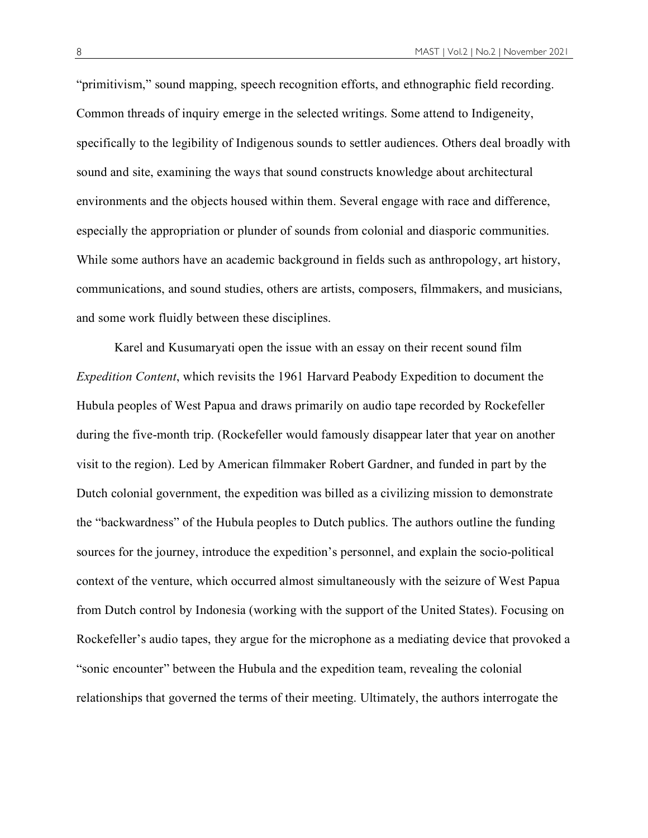"primitivism," sound mapping, speech recognition efforts, and ethnographic field recording. Common threads of inquiry emerge in the selected writings. Some attend to Indigeneity, specifically to the legibility of Indigenous sounds to settler audiences. Others deal broadly with sound and site, examining the ways that sound constructs knowledge about architectural environments and the objects housed within them. Several engage with race and difference, especially the appropriation or plunder of sounds from colonial and diasporic communities. While some authors have an academic background in fields such as anthropology, art history, communications, and sound studies, others are artists, composers, filmmakers, and musicians, and some work fluidly between these disciplines.

Karel and Kusumaryati open the issue with an essay on their recent sound film *Expedition Content*, which revisits the 1961 Harvard Peabody Expedition to document the Hubula peoples of West Papua and draws primarily on audio tape recorded by Rockefeller during the five-month trip. (Rockefeller would famously disappear later that year on another visit to the region). Led by American filmmaker Robert Gardner, and funded in part by the Dutch colonial government, the expedition was billed as a civilizing mission to demonstrate the "backwardness" of the Hubula peoples to Dutch publics. The authors outline the funding sources for the journey, introduce the expedition's personnel, and explain the socio-political context of the venture, which occurred almost simultaneously with the seizure of West Papua from Dutch control by Indonesia (working with the support of the United States). Focusing on Rockefeller's audio tapes, they argue for the microphone as a mediating device that provoked a "sonic encounter" between the Hubula and the expedition team, revealing the colonial relationships that governed the terms of their meeting. Ultimately, the authors interrogate the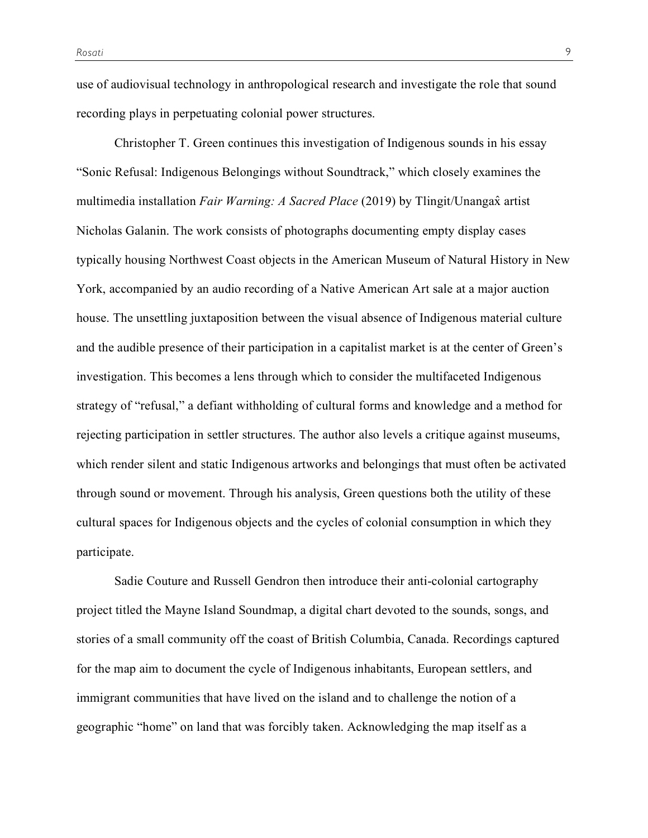use of audiovisual technology in anthropological research and investigate the role that sound recording plays in perpetuating colonial power structures.

Christopher T. Green continues this investigation of Indigenous sounds in his essay "Sonic Refusal: Indigenous Belongings without Soundtrack," which closely examines the multimedia installation *Fair Warning: A Sacred Place* (2019) by Tlingit/Unangax̂ artist Nicholas Galanin. The work consists of photographs documenting empty display cases typically housing Northwest Coast objects in the American Museum of Natural History in New York, accompanied by an audio recording of a Native American Art sale at a major auction house. The unsettling juxtaposition between the visual absence of Indigenous material culture and the audible presence of their participation in a capitalist market is at the center of Green's investigation. This becomes a lens through which to consider the multifaceted Indigenous strategy of "refusal," a defiant withholding of cultural forms and knowledge and a method for rejecting participation in settler structures. The author also levels a critique against museums, which render silent and static Indigenous artworks and belongings that must often be activated through sound or movement. Through his analysis, Green questions both the utility of these cultural spaces for Indigenous objects and the cycles of colonial consumption in which they participate.

Sadie Couture and Russell Gendron then introduce their anti-colonial cartography project titled the Mayne Island Soundmap, a digital chart devoted to the sounds, songs, and stories of a small community off the coast of British Columbia, Canada. Recordings captured for the map aim to document the cycle of Indigenous inhabitants, European settlers, and immigrant communities that have lived on the island and to challenge the notion of a geographic "home" on land that was forcibly taken. Acknowledging the map itself as a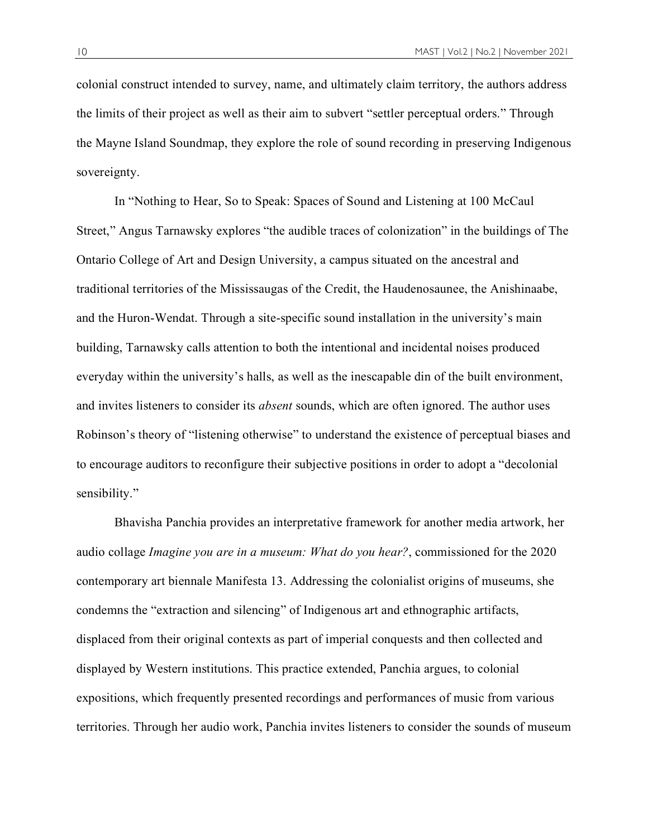colonial construct intended to survey, name, and ultimately claim territory, the authors address the limits of their project as well as their aim to subvert "settler perceptual orders." Through the Mayne Island Soundmap, they explore the role of sound recording in preserving Indigenous sovereignty.

In "Nothing to Hear, So to Speak: Spaces of Sound and Listening at 100 McCaul Street," Angus Tarnawsky explores "the audible traces of colonization" in the buildings of The Ontario College of Art and Design University, a campus situated on the ancestral and traditional territories of the Mississaugas of the Credit, the Haudenosaunee, the Anishinaabe, and the Huron-Wendat. Through a site-specific sound installation in the university's main building, Tarnawsky calls attention to both the intentional and incidental noises produced everyday within the university's halls, as well as the inescapable din of the built environment, and invites listeners to consider its *absent* sounds, which are often ignored. The author uses Robinson's theory of "listening otherwise" to understand the existence of perceptual biases and to encourage auditors to reconfigure their subjective positions in order to adopt a "decolonial sensibility."

Bhavisha Panchia provides an interpretative framework for another media artwork, her audio collage *Imagine you are in a museum: What do you hear?*, commissioned for the 2020 contemporary art biennale Manifesta 13. Addressing the colonialist origins of museums, she condemns the "extraction and silencing" of Indigenous art and ethnographic artifacts, displaced from their original contexts as part of imperial conquests and then collected and displayed by Western institutions. This practice extended, Panchia argues, to colonial expositions, which frequently presented recordings and performances of music from various territories. Through her audio work, Panchia invites listeners to consider the sounds of museum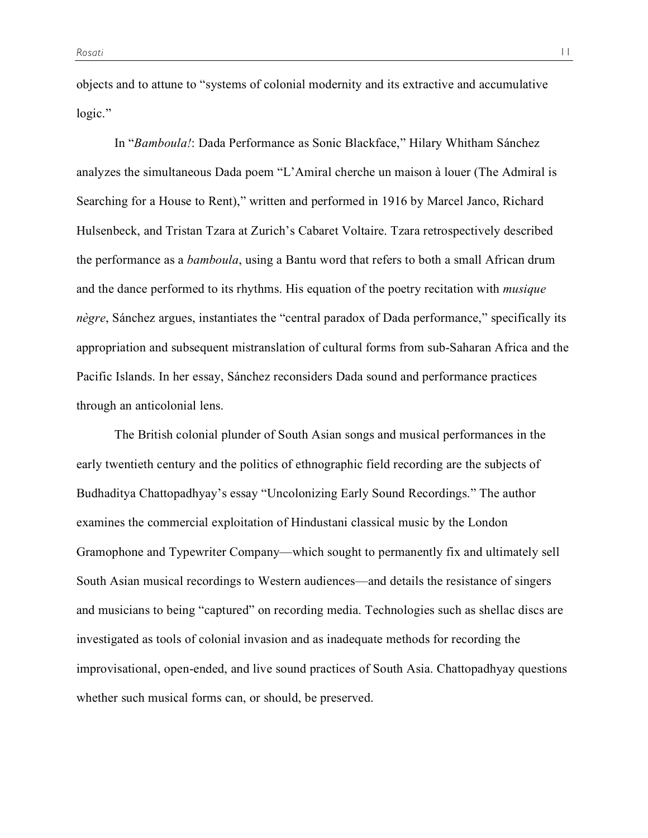objects and to attune to "systems of colonial modernity and its extractive and accumulative logic."

In "*Bamboula!*: Dada Performance as Sonic Blackface," Hilary Whitham Sánchez analyzes the simultaneous Dada poem "L'Amiral cherche un maison à louer (The Admiral is Searching for a House to Rent)," written and performed in 1916 by Marcel Janco, Richard Hulsenbeck, and Tristan Tzara at Zurich's Cabaret Voltaire. Tzara retrospectively described the performance as a *bamboula*, using a Bantu word that refers to both a small African drum and the dance performed to its rhythms. His equation of the poetry recitation with *musique nègre*, Sánchez argues, instantiates the "central paradox of Dada performance," specifically its appropriation and subsequent mistranslation of cultural forms from sub-Saharan Africa and the Pacific Islands. In her essay, Sánchez reconsiders Dada sound and performance practices through an anticolonial lens.

The British colonial plunder of South Asian songs and musical performances in the early twentieth century and the politics of ethnographic field recording are the subjects of Budhaditya Chattopadhyay's essay "Uncolonizing Early Sound Recordings." The author examines the commercial exploitation of Hindustani classical music by the London Gramophone and Typewriter Company—which sought to permanently fix and ultimately sell South Asian musical recordings to Western audiences—and details the resistance of singers and musicians to being "captured" on recording media. Technologies such as shellac discs are investigated as tools of colonial invasion and as inadequate methods for recording the improvisational, open-ended, and live sound practices of South Asia. Chattopadhyay questions whether such musical forms can, or should, be preserved.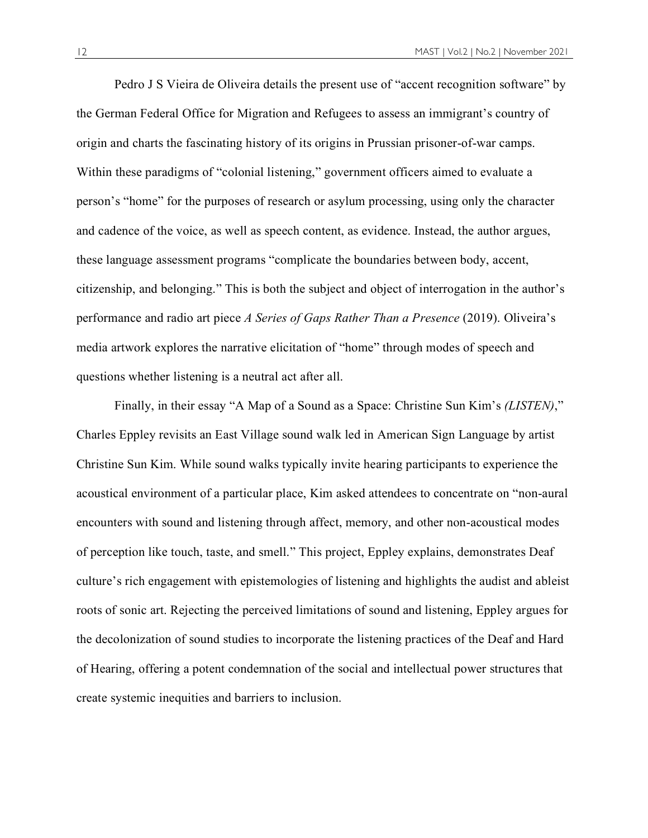Pedro J S Vieira de Oliveira details the present use of "accent recognition software" by the German Federal Office for Migration and Refugees to assess an immigrant's country of origin and charts the fascinating history of its origins in Prussian prisoner-of-war camps. Within these paradigms of "colonial listening," government officers aimed to evaluate a person's "home" for the purposes of research or asylum processing, using only the character and cadence of the voice, as well as speech content, as evidence. Instead, the author argues, these language assessment programs "complicate the boundaries between body, accent, citizenship, and belonging." This is both the subject and object of interrogation in the author's performance and radio art piece *A Series of Gaps Rather Than a Presence* (2019). Oliveira's media artwork explores the narrative elicitation of "home" through modes of speech and questions whether listening is a neutral act after all.

Finally, in their essay "A Map of a Sound as a Space: Christine Sun Kim's *(LISTEN)*," Charles Eppley revisits an East Village sound walk led in American Sign Language by artist Christine Sun Kim. While sound walks typically invite hearing participants to experience the acoustical environment of a particular place, Kim asked attendees to concentrate on "non-aural encounters with sound and listening through affect, memory, and other non-acoustical modes of perception like touch, taste, and smell." This project, Eppley explains, demonstrates Deaf culture's rich engagement with epistemologies of listening and highlights the audist and ableist roots of sonic art. Rejecting the perceived limitations of sound and listening, Eppley argues for the decolonization of sound studies to incorporate the listening practices of the Deaf and Hard of Hearing, offering a potent condemnation of the social and intellectual power structures that create systemic inequities and barriers to inclusion.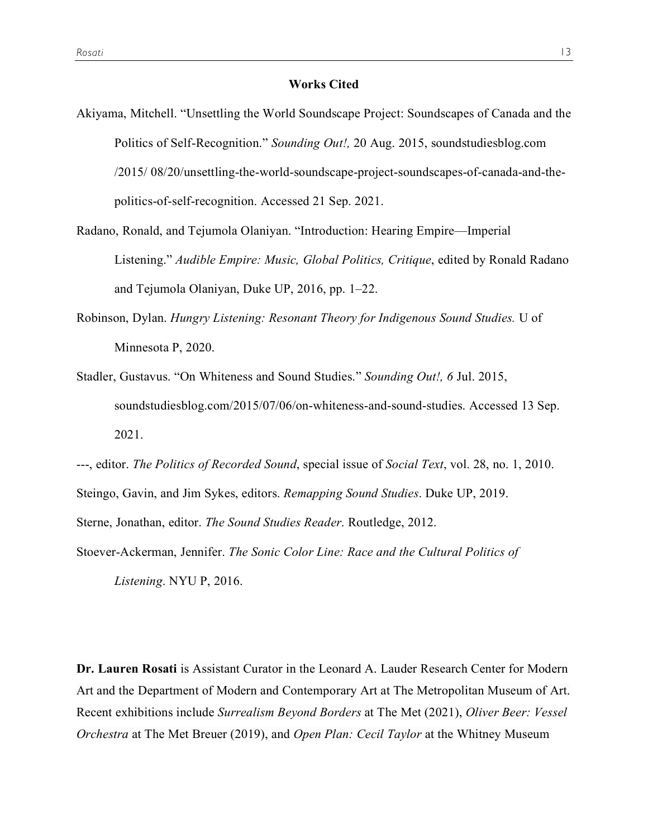## **Works Cited**

- Akiyama, Mitchell. "Unsettling the World Soundscape Project: Soundscapes of Canada and the Politics of Self-Recognition." *Sounding Out!,* 20 Aug. 2015, soundstudiesblog.com /2015/ 08/20/unsettling-the-world-soundscape-project-soundscapes-of-canada-and-thepolitics-of-self-recognition. Accessed 21 Sep. 2021.
- Radano, Ronald, and Tejumola Olaniyan. "Introduction: Hearing Empire—Imperial Listening." *Audible Empire: Music, Global Politics, Critique*, edited by Ronald Radano and Tejumola Olaniyan, Duke UP, 2016, pp. 1–22.
- Robinson, Dylan. *Hungry Listening: Resonant Theory for Indigenous Sound Studies.* U of Minnesota P, 2020.
- Stadler, Gustavus. "On Whiteness and Sound Studies." *Sounding Out!, 6* Jul. 2015, soundstudiesblog.com/2015/07/06/on-whiteness-and-sound-studies. Accessed 13 Sep. 2021.

---, editor. *The Politics of Recorded Sound*, special issue of *Social Text*, vol. 28, no. 1, 2010. Steingo, Gavin, and Jim Sykes, editors. *Remapping Sound Studies*. Duke UP, 2019. Sterne, Jonathan, editor. *The Sound Studies Reader*. Routledge, 2012.

Stoever-Ackerman, Jennifer. *The Sonic Color Line: Race and the Cultural Politics of Listening*. NYU P, 2016.

**Dr. Lauren Rosati** is Assistant Curator in the Leonard A. Lauder Research Center for Modern Art and the Department of Modern and Contemporary Art at The Metropolitan Museum of Art. Recent exhibitions include *Surrealism Beyond Borders* at The Met (2021), *Oliver Beer: Vessel Orchestra* at The Met Breuer (2019), and *Open Plan: Cecil Taylor* at the Whitney Museum